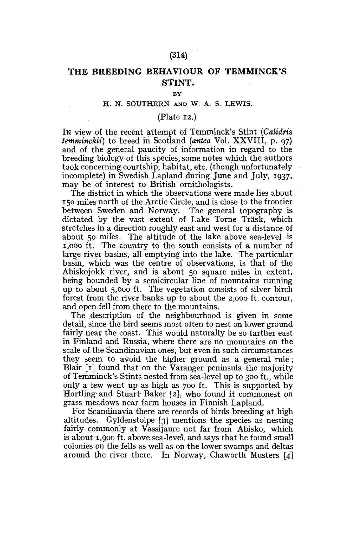### **(314)**

# **THE BREEDING BEHAVIOUR OF TEMMINCK'S STINT,**

#### **BY**

## H. N. SOUTHERN AND W. A. S. LEWIS.

### (Plate 12.)

IN view of the recent attempt of Temminck's Stint *(Calidris temminckii)* to breed in Scotland *(antea* Vol. XXVIII, p. 97) and of the general paucity of information in regard to the breeding biology of this species, some notes which the authors took concerning courtship, habitat, etc. (though unfortunately incomplete) in Swedish Lapland during June and July, 1937, may be of interest to British ornithologists.

The district in which the observations were made lies about 150 miles north of the Arctic Circle, and is close to the frontier between Sweden and Norway. The general topography is dictated by the vast extent of Lake Torne Trask, which stretches in a direction roughly east and west for a distance of about 50 miles. The altitude of the lake above sea-level is 1,000 ft. The country to the south consists of a number of large river basins, all emptying into the lake. The particular basin, which was the centre of observations, is that of the Abiskojokk river, and is about 50 square miles in extent, being bounded by a semicircular line of mountains running up to about 5,000 ft. The vegetation consists of silver birch forest from the river banks up to about the 2,000 ft. contour, and open fell from there to the mountains.

The description of the neighbourhood is given in some detail, since the bird seems most often to nest on lower ground fairly near the coast. This would naturally be so farther east in Finland and Russia, where there are no mountains on the scale of the Scandinavian ones, but even in such circumstances they seem to avoid the higher ground as a general rule; Blair [1] found that on the Varanger peninsula the majority of Temminck's Stints nested from sea-level up to 300 ft., while only a few went up as high as 700 ft. This is supported by Hortling and Stuart Baker [2], who found it commonest on grass meadows near farm houses in Finnish Lapland.

For Scandinavia there are records of birds breeding at high altitudes. Gyldenstolpe [3] mentions the species as nesting fairly commonly at Vassijaure not far from Abisko, which is about 1,900 ft. above sea-level, and says that he found small colonies on the fells as well as on the lower swamps and deltas around the river there. In Norway, Chaworth Musters [4]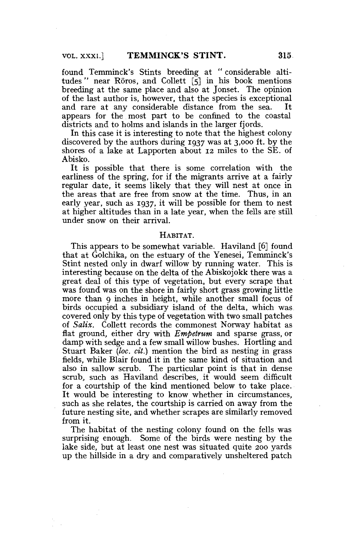found Temminck's Stints breeding at " considerable altitudes " near Roros, and Collett  $\overline{5}$ ] in his book mentions breeding at the same place and also at Jonset. The opinion of the last author is, however, that the species is exceptional and rare at any considerable distance from the sea. It appears for the most part to be confined to the coastal districts and to holms and islands in the larger fiords.

In this case it is interesting to note that the highest colony discovered by the authors during 1937 was at 3,000 ft. by the shores of a lake at Lapporten about 12 miles to the SE. of Abisko.

It is possible that there is some correlation with the earliness of the spring, for if the migrants arrive at a fairly regular date, it seems likely that they will nest at once in the areas that are free from snow at the time. Thus, in an early year, such as 1937, it will be possible for them to nest at higher altitudes than in a late year, when the fells are still under snow on their arrival.

### HABITAT.

This appears to be somewhat variable. Haviland [6] found that at Golchika, on the estuary of the Yenesei, Temminck's Stint nested only in dwarf willow by running water. This is interesting because on the delta of the Abiskojokk there was a great deal of this type of vegetation, but every scrape that was found was on the shore in fairly short grass growing little more than 9 inches in height, while another small focus of birds occupied a subsidiary island of the delta, which was covered only by this type of vegetation with two small patches of *Salix.* Collett records the commonest Norway habitat as flat ground, either dry with *Empetrum* and sparse grass, or damp with sedge and a few small willow bushes. Hortling and Stuart Baker *{loc. cit.)* mention the bird as nesting in grass fields, while Blair found it in the same kind of situation and also in sallow scrub. The particular point is that in dense scrub, such as Haviland describes, it would seem difficult for a courtship of the kind mentioned below to take place. It would be interesting to know whether in circumstances, such as she relates, the courtship is carried on away from the future nesting site, and whether scrapes are similarly removed from it.

The habitat of the nesting colony found on the fells was surprising enough. Some of the birds were nesting by the lake side, but at least one nest was situated quite 200 yards up the hillside in a dry and comparatively unsheltered patch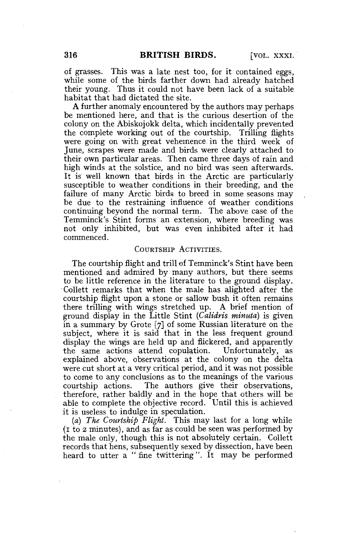of grasses. This was a late nest too, for it contained eggs, while some of the birds farther down had already hatched their young. Thus it could not have been lack of a suitable habitat that had dictated the site.

A further anomaly encountered by the authors may perhaps be mentioned here, and that is the curious desertion of the colony on the Abiskojokk delta, which incidentally prevented the complete working out of the courtship. Trilling flights were going on with great vehemence in the third week of June, scrapes were made and birds were clearly attached to their own particular areas. Then came three days of rain and high winds at the solstice, and no bird was seen afterwards. It is well known that birds in the Arctic are particularly susceptible to weather conditions in their breeding, and the failure of many Arctic birds to breed in some seasons may be due to the restraining influence of weather conditions continuing beyond the normal term. The above case of the Temminck's Stint forms an extension, where breeding was not only inhibited, but was even inhibited after it had commenced.

### COURTSHIP ACTIVITIES.

The courtship flight and trill of Temminck's Stint have been mentioned and admired by many authors, but there seems to be little reference in the literature to the ground display. Collett remarks that when the male has alighted after the courtship flight upon a stone or sallow bush it often remains there trilling with wings stretched up. A brief mention of ground display in the Little Stint *(Calidris minuta)* is given in a summary by Grote [7] of some Russian literature on the subject, where it is said that in the less frequent ground display the wings are held up and flickered, and apparently the same actions attend copulation. Unfortunately, as explained above, observations at the colony on the delta were cut short at a very critical period, and it was not possible to come to any conclusions as to the meanings of the various courtship actions. The authors give their observations, therefore, rather baldly and in the hope that others will be able to complete the objective record. Until this is achieved it is useless to indulge in speculation.

*(a) The Courtship Flight.* This may last for a long while (1 to 2 minutes), and as far as could be seen was performed by the male only, though this is not absolutely certain. Collett records that hens, subsequently sexed by dissection, have been heard to utter a "fine twittering". It may be performed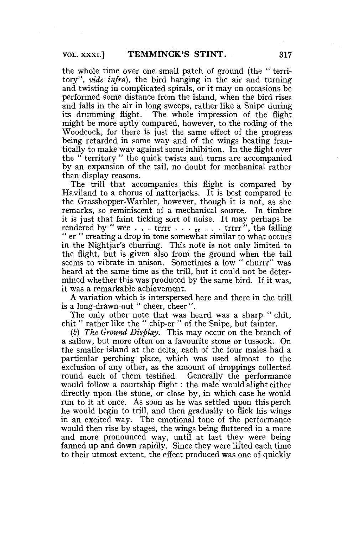the whole time over one small patch of ground (the " territory", *vide infra),* the bird hanging in the air and turning and twisting in complicated spirals, or it may on occasions be performed some distance from the island, when the bird rises and falls in the air in long sweeps, rather like a Snipe during its drumming flight. The whole impression of the flight might be more aptly compared, however, to the roding of the Woodcock, for there is just the same effect of the progress being retarded in some way and of the wings beating frantically to make way against some inhibition. In the flight over the " territory " the quick twists and turns are accompanied by an expansion of the tail, no doubt for mechanical rather than display reasons.

The trill that accompanies this flight is compared by Haviland to a chorus of natterjacks. It is best compared to the Grasshopper-Warbler, however, though it is not, as she remarks, so reminiscent of a mechanical source. In timbre it is just that faint ticking sort of noise. It may perhaps be rendered by " wee  $\ldots$  trrrr  $\ldots$  er  $\ldots$  trrrr", the falling " er " creating a drop in tone somewhat similar to what occurs in the Nightjar's churring. This note is not only limited to the flight, but is given also from the ground when the tail seems to vibrate in unison. Sometimes a low " churrr" was heard at the same time as the trill, but it could not be determined whether this was produced by the same bird. If it was, it was a remarkable achievement.

A variation which is interspersed here and there in the trill is a long-drawn-out " cheer, cheer ".

The only other note that was heard was a sharp " chit, chit " rather like the " chip-er " of the Snipe, but fainter.

*(b) The Ground Display.* This may occur on the branch of a sallow, but more often on a favourite stone or tussock. On the smaller island at the delta, each of the four males had a particular perching place, which was used almost to the exclusion of any other, as the amount of droppings collected round each of them testified. Generally the performance would follow a courtship flight: the male would alight either directly upon the stone, or close by, in which case he would run to it at once. As soon as he was settled upon this perch he would begin to trill, and then gradually to flick his wings in an excited way. The emotional tone of the performance would then rise by stages, the wings being fluttered in a more and more pronounced way, until at last they were being fanned up and down rapidly. Since they were lifted each time to their utmost extent, the effect produced was one of quickly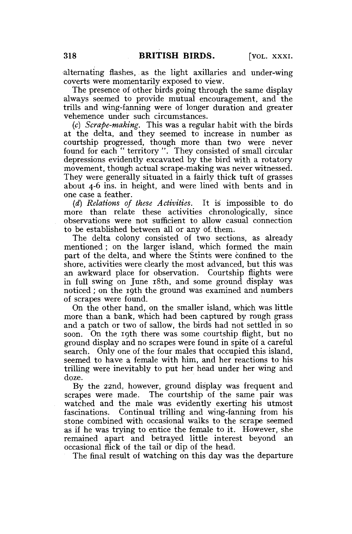alternating flashes, as the light axillaries and under-wing coverts were momentarily exposed to view.

The presence of other birds going through the same display always seemed to provide mutual encouragement, and the trills and wing-fanning were of longer duration and greater vehemence under such circumstances.

(c) *Scrape-making.* This was a regular habit with the birds at the delta, and they seemed to increase in number as courtship progressed, though more than two were never found for each " territory ". They consisted of small circular depressions evidently excavated by the bird with a rotatory movement, though actual scrape-making was never witnessed. They were generally situated in a fairly thick tuft of grasses about 4-6 ins. in height, and were lined with bents and in one case a feather.

*(d) Relations of these Activities.* It is impossible to do more than relate these activities chronologically, since observations were not sufficient to allow casual connection to be established between all or any of. them.

The delta colony consisted of two sections, as already mentioned; on the larger island, which formed the main part of the delta, and where the Stints were confined to the shore, activities were clearly the most advanced, but this was an awkward place for observation. Courtship flights were in full swing on June 18th, and some ground display was noticed ; on the 19th the ground was examined and numbers of scrapes were found.

On the other hand, on the smaller island, which was little more than a bank, which had been captured by rough grass and a patch or two of sallow, the birds had not settled in so soon. On the 19th there was some courtship flight, but no ground display and no scrapes were found in spite of a careful search. Only one of the four males that occupied this island, seemed to have a female with him, and her reactions to his trilling were inevitably to put her head under her wing and doze.

By the 22nd, however, ground display was frequent and scrapes were made. The courtship of the same pair was watched and the male was evidently exerting his utmost fascinations. Continual trilling and wing-fanning from his stone combined with occasional walks to the scrape seemed as if he was trying to entice the female to it. However, she remained apart and betrayed little interest beyond occasional flick of the tail or dip. of the head.

The final result of watching on this day was the departure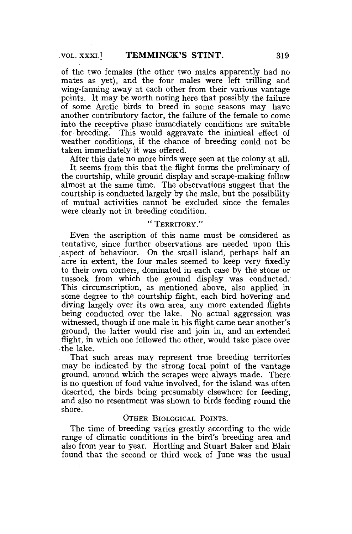of the two females (the other two males apparently had no mates as yet), and the four males were left trilling and wing-fanning away at each other from their various vantage points. It may be worth noting here that possibly the failure of some Arctic birds to breed in some seasons may have another contributory factor, the failure of the female to come into the receptive phase immediately conditions are suitable for breeding. This would aggravate the inimical effect of weather conditions, if the chance of breeding could not be taken immediately it was offered.

After this date no more birds were seen at the colony at all. It seems from this that the flight forms the preliminary of the courtship, while ground display and scrape-making follow almost at the same time. The observations suggest that the courtship is conducted largely by the male, but the possibility of mutual activities cannot be excluded since the females were clearly not in breeding condition.

## " TERRITORY."

Even the ascription of this name must be considered as tentative, since further observations are needed upon this aspect of behaviour. On the small island, perhaps half an acre in extent, the four males seemed to keep very fixedly to their own corners, dominated in each case by the stone or tussock from which the ground display was conducted. This circumscription, as mentioned above, also applied in some degree to the courtship flight, each bird hovering and diving largely over its own area, any more extended flights being conducted over the lake. No actual aggression was witnessed, though if one male in his flight came near another's ground, the latter would rise and join in, and an extended flight, in which one followed the other, would take place over the lake.

That such areas may represent true breeding territories may be indicated by the strong focal point of the vantage ground, around which the scrapes were always made. There is no question of food value involved, for the island was often deserted, the birds being presumably elsewhere for feeding, and also no resentment was shown to birds feeding round the shore.

### OTHER BIOLOGICAL POINTS.

The time of breeding varies greatly according to the wide range of climatic conditions in the bird's breeding area and also from year to year. Hortling and Stuart Baker and Blair found that the second or third week of June was the usual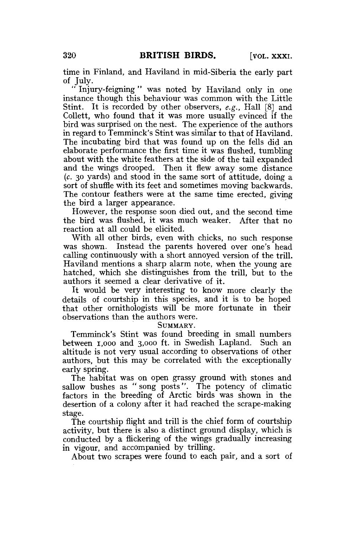time in Finland, and Haviland in mid-Siberia the early part of July.

Injury-feigning" was noted by Haviland only in one instance though this behaviour was common with the Little Stint. It is recorded by other observers, *e.g.,* Hall [8] and Collett, who found that it was more usually evinced if the bird was surprised on the nest. The experience of the authors in regard to Temminck's Stint was similar to that of Haviland. The incubating bird that was found up on the fells did an elaborate performance the first time it was flushed, tumbling about with the white feathers at the side of the tail expanded and the wings drooped. Then it flew away some distance *(c.* 30 yards) and stood in the same sort of attitude, doing a sort of shuffle with its feet and sometimes moving backwards. The contour feathers were at the same time erected, giving the bird a larger appearance.

However, the response soon died out, and the second time the bird was flushed, it was much weaker. After that no reaction at all could be elicited.

With all other birds, even with chicks, no such response was shown. Instead the parents hovered over one's head calling continuously with a short annoyed version of the trill. Haviland mentions a sharp alarm note, when the young are hatched, which she distinguishes from the trill, but to the authors it seemed a clear derivative of it.

It would be very interesting to know more clearly the details of courtship in this species, and it is to be hoped that other ornithologists will be more fortunate in their observations than the authors were.

SUMMARY.

Temminck's Stint was found breeding in small numbers between 1,000 and 3,000 ft. in Swedish Lapland. Such an altitude is not very usual according to observations of other authors, but this may be correlated with the exceptionally early spring.

The habitat was on open grassy ground with stones and sallow bushes as " song posts". The potency of climatic factors in the breeding of Arctic birds was shown in the desertion of a colony after it had reached the scrape-making stage.

The courtship flight and trill is the chief form of courtship activity, but there is also a distinct ground display, which is conducted by a flickering of the wings gradually increasing in vigour, and accompanied by trilling.

About two scrapes were found to each pair, and a sort of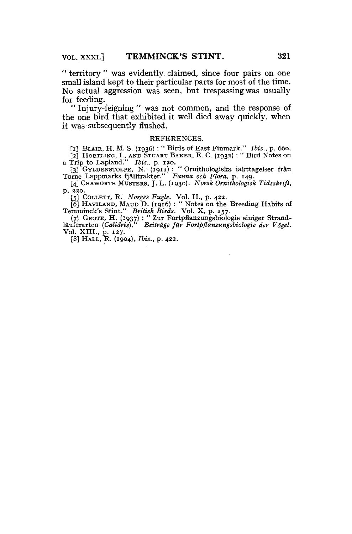" territory " was evidently claimed, since four pairs on one small island kept to their particular parts for most of the time. No actual aggression was seen, but trespassing was usually for feeding.

" Injury-feigning " was not common, and the response of the one bird that exhibited it well died away quickly, when it was subsequently flushed.

#### REFERENCES.

[i] BLAIR, H. M. S. (1936) : '\* Birds of East Finmark." *Ibis.,* p. 660. [2] HORTUNG, I., AND STUART BAKER, E. C. (1932) : " Bird Notes on

a Trip to Lapland." *Ibis.*, p. 120.<br>
[3] GYLDENSTOLPE, N. (1911) : "Ornithologiska iakttagelser från<br>Torne Lappmarks fjälltrakter." *Fauna och Flora*, p. 149.

[4] CHAWORTH MUSTERS, J. L. (1930). *Norsk Ornithologisk Tidsskrift,*  p. 220.

[5] COIXETT, R. *Norges Fugle.* Vol. II., p. 422.

[6] HAVILAND, MAUD D. (1916) : " Notes on the Breeding Habits of Temminck's Stint." *British Birds.* Vol. X, p. 157.

(7) GROTE, H. (1937) : " Zur Fortpflanzungsbiologie einiger Strand-<br>lauferarten (Calidris)." Beiträge für Fortpflanzungsbiologie der Vögel. Beiträge für Fortpflanzungsbiologie der Vögel. Vol. XIII., p. 127.

[8] HALL, R. (1904), *Ibis.,* p. 422.